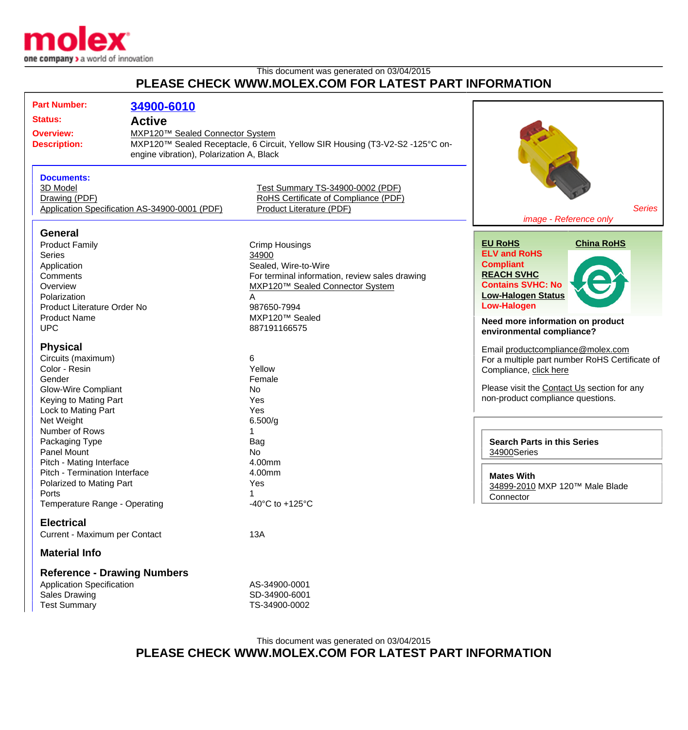

## This document was generated on 03/04/2015 **PLEASE CHECK WWW.MOLEX.COM FOR LATEST PART INFORMATION**

| <b>Part Number:</b>                 | 34900-6010                                    |                                                                               |                                                |
|-------------------------------------|-----------------------------------------------|-------------------------------------------------------------------------------|------------------------------------------------|
| <b>Status:</b>                      | <b>Active</b>                                 |                                                                               |                                                |
|                                     |                                               |                                                                               |                                                |
| <b>Overview:</b>                    | MXP120™ Sealed Connector System               |                                                                               |                                                |
| <b>Description:</b>                 |                                               | MXP120™ Sealed Receptacle, 6 Circuit, Yellow SIR Housing (T3-V2-S2 -125°C on- |                                                |
|                                     | engine vibration), Polarization A, Black      |                                                                               |                                                |
| <b>Documents:</b>                   |                                               |                                                                               |                                                |
| 3D Model                            |                                               | Test Summary TS-34900-0002 (PDF)                                              |                                                |
| Drawing (PDF)                       |                                               | RoHS Certificate of Compliance (PDF)                                          |                                                |
|                                     | Application Specification AS-34900-0001 (PDF) | Product Literature (PDF)                                                      | <b>Series</b>                                  |
|                                     |                                               |                                                                               | image - Reference only                         |
| <b>General</b>                      |                                               |                                                                               |                                                |
| <b>Product Family</b>               |                                               | Crimp Housings                                                                | <b>EU RoHS</b><br><b>China RoHS</b>            |
| <b>Series</b>                       |                                               | 34900                                                                         | <b>ELV and RoHS</b>                            |
| Application                         |                                               | Sealed, Wire-to-Wire                                                          | <b>Compliant</b>                               |
| Comments                            |                                               | For terminal information, review sales drawing                                | <b>REACH SVHC</b>                              |
| Overview                            |                                               | MXP120™ Sealed Connector System                                               | <b>Contains SVHC: No</b>                       |
| Polarization                        |                                               | A                                                                             | <b>Low-Halogen Status</b>                      |
| Product Literature Order No         |                                               | 987650-7994                                                                   | <b>Low-Halogen</b>                             |
| <b>Product Name</b>                 |                                               | MXP120™ Sealed                                                                | Need more information on product               |
| <b>UPC</b>                          |                                               | 887191166575                                                                  | environmental compliance?                      |
| <b>Physical</b>                     |                                               |                                                                               |                                                |
|                                     |                                               | 6                                                                             | Email productcompliance@molex.com              |
| Circuits (maximum)<br>Color - Resin |                                               | Yellow                                                                        | For a multiple part number RoHS Certificate of |
| Gender                              |                                               | Female                                                                        | Compliance, click here                         |
| <b>Glow-Wire Compliant</b>          |                                               | No                                                                            | Please visit the Contact Us section for any    |
| Keying to Mating Part               |                                               | Yes                                                                           | non-product compliance questions.              |
| Lock to Mating Part                 |                                               | Yes                                                                           |                                                |
| Net Weight                          |                                               | 6.500/g                                                                       |                                                |
| Number of Rows                      |                                               |                                                                               |                                                |
| Packaging Type                      |                                               | Bag                                                                           | <b>Search Parts in this Series</b>             |
| Panel Mount                         |                                               | No                                                                            | 34900Series                                    |
| Pitch - Mating Interface            |                                               | 4.00mm                                                                        |                                                |
| Pitch - Termination Interface       |                                               | 4.00mm                                                                        | <b>Mates With</b>                              |
| Polarized to Mating Part            |                                               | Yes                                                                           | 34899-2010 MXP 120™ Male Blade                 |
| Ports                               |                                               |                                                                               | Connector                                      |
| Temperature Range - Operating       |                                               | -40 $^{\circ}$ C to +125 $^{\circ}$ C                                         |                                                |
| <b>Electrical</b>                   |                                               |                                                                               |                                                |
| Current - Maximum per Contact       |                                               | 13A                                                                           |                                                |
| <b>Material Info</b>                |                                               |                                                                               |                                                |
| <b>Reference - Drawing Numbers</b>  |                                               |                                                                               |                                                |
| <b>Application Specification</b>    |                                               | AS-34900-0001                                                                 |                                                |
| Sales Drawing                       |                                               | SD-34900-6001                                                                 |                                                |
| <b>Test Summary</b>                 |                                               | TS-34900-0002                                                                 |                                                |
|                                     |                                               |                                                                               |                                                |